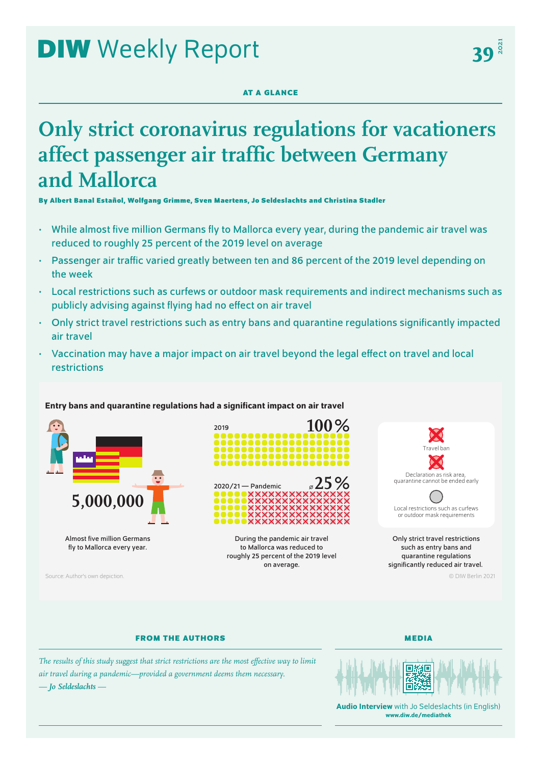# **DIW** Weekly Report

## **AT A GLANCE**

## **Only strict coronavirus regulations for vacationers affect passenger air traffic between Germany and Mallorca**

**By Albert Banal Estañol, Wolfgang Grimme, Sven Maertens, Jo Seldeslachts and Christina Stadler**

- While almost five million Germans fly to Mallorca every year, during the pandemic air travel was reduced to roughly 25 percent of the 2019 level on average
- Passenger air traffic varied greatly between ten and 86 percent of the 2019 level depending on the week
- Local restrictions such as curfews or outdoor mask requirements and indirect mechanisms such as publicly advising against flying had no effect on air travel
- Only strict travel restrictions such as entry bans and quarantine regulations significantly impacted air travel
- Vaccination may have a major impact on air travel beyond the legal effect on travel and local restrictions

## Entry bans and quarantine regulations had a significant impact on air travel



Almost five million Germans fly to Mallorca every year.

Source: Author's own depiction. © DIW Berlin 2021





During the pandemic air travel to Mallorca was reduced to roughly 25 percent of the 2019 level on average.





Only strict travel restrictions such as entry bans and quarantine regulations significantly reduced air travel.

## **FROM THE AUTHORS**

**MEDIA**

*The results of this study suggest that strict restrictions are the most effective way to limit air travel during a pandemic—provided a government deems them necessary. — Jo Seldeslachts —*



Audio Interview with Jo Seldeslachts (in English) [www.diw.de/mediathek](http://www.diw.de/mediathek)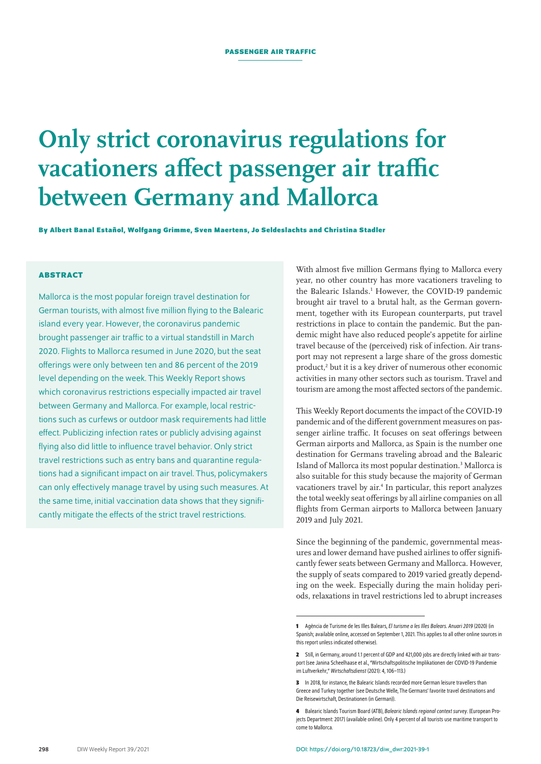## **Only strict coronavirus regulations for vacationers affect passenger air traffic between Germany and Mallorca**

**By Albert Banal Estañol, Wolfgang Grimme, Sven Maertens, Jo Seldeslachts and Christina Stadler**

## **ABSTRACT**

Mallorca is the most popular foreign travel destination for German tourists, with almost five million flying to the Balearic island every year. However, the coronavirus pandemic brought passenger air traffic to a virtual standstill in March 2020. Flights to Mallorca resumed in June 2020, but the seat offerings were only between ten and 86 percent of the 2019 level depending on the week. This Weekly Report shows which coronavirus restrictions especially impacted air travel between Germany and Mallorca. For example, local restrictions such as curfews or outdoor mask requirements had little effect. Publicizing infection rates or publicly advising against flying also did little to influence travel behavior. Only strict travel restrictions such as entry bans and quarantine regulations had a significant impact on air travel. Thus, policymakers can only effectively manage travel by using such measures. At the same time, initial vaccination data shows that they significantly mitigate the effects of the strict travel restrictions.

With almost five million Germans flying to Mallorca every year, no other country has more vacationers traveling to the Balearic Islands.<sup>1</sup> However, the COVID-19 pandemic brought air travel to a brutal halt, as the German government, together with its European counterparts, put travel restrictions in place to contain the pandemic. But the pandemic might have also reduced people's appetite for airline travel because of the (perceived) risk of infection. Air transport may not represent a large share of the gross domestic product,<sup>2</sup> but it is a key driver of numerous other economic activities in many other sectors such as tourism. Travel and tourism are among the most affected sectors of the pandemic.

This Weekly Report documents the impact of the COVID-19 pandemic and of the different government measures on passenger airline traffic. It focuses on seat offerings between German airports and Mallorca, as Spain is the number one destination for Germans traveling abroad and the Balearic Island of Mallorca its most popular destination.<sup>3</sup> Mallorca is also suitable for this study because the majority of German vacationers travel by air.<sup>4</sup> In particular, this report analyzes the total weekly seat offerings by all airline companies on all flights from German airports to Mallorca between January 2019 and July 2021.

Since the beginning of the pandemic, governmental measures and lower demand have pushed airlines to offer significantly fewer seats between Germany and Mallorca. However, the supply of seats compared to 2019 varied greatly depending on the week. Especially during the main holiday periods, relaxations in travel restrictions led to abrupt increases

**<sup>1</sup>** Agència de Turisme de les Illes Balears, *El turisme a les Illes Balears. Anuari 2019* (2020) [\(in](http://www.caib.es/sites/estadistiquesdelturisme/ca/anuaris_de_turisme-22816/archivopub.do?ctrl=MCRST865ZI325768&id=325768)  [Spanish; available online](http://www.caib.es/sites/estadistiquesdelturisme/ca/anuaris_de_turisme-22816/archivopub.do?ctrl=MCRST865ZI325768&id=325768), accessed on September 1, 2021. This applies to all other online sources in this report unless indicated otherwise).

**<sup>2</sup>** Still, in Germany, around 1.1 percent of GDP and 421,000 jobs are directly linked with air transport (see Janina Scheelhaase et al., "Wirtschaftspolitische Implikationen der COVID-19 Pandemie [im Luftverkehr,"](https://elib.dlr.de/141049/%22) *Wirtschaftsdienst* (2021): 4, 106–113.)

**<sup>3</sup>** In 2018, for instance, the Balearic Islands recorded more German leisure travellers than Greece and Turkey together (see Deutsche Welle, [The Germans' favorite travel destinations](https://www.dw.com/en/the-germans-favorite-travel-destinations/g-47454360) and Die Reisewirtschaft, [Destinationen](https://www.drv.de/themen/reisen-in-zahlen/destinationen.html) (in German)).

**<sup>4</sup>** Balearic Islands Tourism Board (ATB), *Balearic Islands regional context survey*. (European Projects Department: 2017) ([available online](https://www.interregeurope.eu/fileadmin/user_upload/tx_tevprojects/library/file_1508251726.pdf)). Only 4 percent of all tourists use maritime transport to come to Mallorca.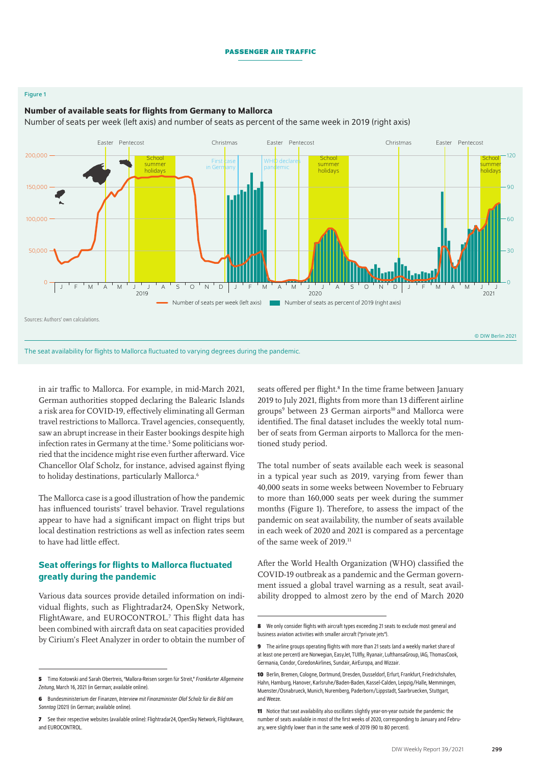### Figure 1

#### 0 30 60  $\overline{a}$ 120 0 50,000 100,000 150,000  $200.000 \cdot$ 2019 2020 2021 Number of seats per week (left axis) Number of seats as percent of 2019 (right axis) Easter Pentecost Christmas Christmas Easter Pentecost Easter Pentecost **School** summer holidays **School** summe holidays **School** summer holidays First <mark>case</mark> in Germany decla pandemic J F M A M J J A S O N D J F M A M J J A S O N D J F M A M J J Sources: Authors' own calculations. © DIW Berlin 2021

## Number of available seats for flights from Germany to Mallorca

Number of seats per week (left axis) and number of seats as percent of the same week in 2019 (right axis)

The seat availability for flights to Mallorca fluctuated to varying degrees during the pandemic.

in air traffic to Mallorca. For example, in mid-March 2021, German authorities stopped declaring the Balearic Islands a risk area for COVID-19, effectively eliminating all German travel restrictions to Mallorca. Travel agencies, consequently, saw an abrupt increase in their Easter bookings despite high infection rates in Germany at the time.<sup>5</sup> Some politicians worried that the incidence might rise even further afterward. Vice Chancellor [Olaf Scholz](https://www.faz.net/aktuell/politik/thema/olaf-scholz), for instance, advised against flying to holiday destinations, particularly Mallorca.<sup>6</sup>

The Mallorca case is a good illustration of how the pandemic has influenced tourists' travel behavior. Travel regulations appear to have had a significant impact on flight trips but local destination restrictions as well as infection rates seem to have had little effect.

## Seat offerings for flights to Mallorca fluctuated greatly during the pandemic

Various data sources provide detailed information on individual flights, such as Flightradar24, OpenSky Network, FlightAware, and EUROCONTROL.<sup>7</sup> This flight data has been combined with aircraft data on seat capacities provided by Cirium's Fleet Analyzer in order to obtain the number of

**7** [See their respective websites \(available online\): Flightradar24,](http://www.flightradar24.com) [OpenSky Network](https://opensky-network.org/), [FlightAware](https://flightaware.com/adsb/), and [EUROCONTROL](https://www.eurocontrol.int/dashboard/rnd-data-archive).

seats offered per flight.<sup>8</sup> In the time frame between January 2019 to July 2021, flights from more than 13 different airline groups<sup>9</sup> between 23 German airports<sup>10</sup> and Mallorca were identified. The final dataset includes the weekly total number of seats from German airports to Mallorca for the mentioned study period.

The total number of seats available each week is seasonal in a typical year such as 2019, varying from fewer than 40,000 seats in some weeks between November to February to more than 160,000 seats per week during the summer months (Figure 1). Therefore, to assess the impact of the pandemic on seat availability, the number of seats available in each week of 2020 and 2021 is compared as a percentage of the same week of 2019.11

After the World Health Organization (WHO) classified the COVID-19 outbreak as a pandemic and the German government issued a global travel warning as a result, seat availability dropped to almost zero by the end of March 2020

**<sup>5</sup>** Timo Kotowski and Sarah Obertreis, "Mallora-Reisen sorgen für Streit," *Frankfurter Allgemeine Zeitung*, March 16, 2021 (in German; [available online\)](https://www.faz.net/aktuell/wirtschaft/osterurlaub-und-corona-mallorca-reisen-sorgen-fuer-streit-17247988.html).

**<sup>6</sup>** Bundesministerium der Finanzen, *Interview mit Finanzminister Olaf Scholz für die Bild am Sonntag* (2021) (in German; [available online\)](https://www.bundesfinanzministerium.de/Content/DE/Interviews/2021/2021-03-21-Bild-am-Sonntag.html).

**<sup>8</sup>** We only consider flights with aircraft types exceeding 21 seats to exclude most general and business aviation activities with smaller aircraft ("private jets").

**<sup>9</sup>** The airline groups operating flights with more than 21 seats (and a weekly market share of at least one percent) are Norwegian, EasyJet, TUIfly, Ryanair, LufthansaGroup, IAG, ThomasCook, Germania, Condor, CoredonAirlines, Sundair, AirEuropa, and Wizzair.

**<sup>10</sup>** Berlin, Bremen, Cologne, Dortmund, Dresden, Dusseldorf, Erfurt, Frankfurt, Friedrichshafen, Hahn, Hamburg, Hanover, Karlsruhe/Baden-Baden, Kassel-Calden, Leipzig/Halle, Memmingen, Muenster/Osnabrueck, Munich, Nuremberg, Paderborn/Lippstadt, Saarbruecken, Stuttgart, and Weeze.

**<sup>11</sup>** Notice that seat availability also oscillates slightly year-on-year outside the pandemic: the number of seats available in most of the first weeks of 2020, corresponding to January and February, were slightly lower than in the same week of 2019 (90 to 80 percent).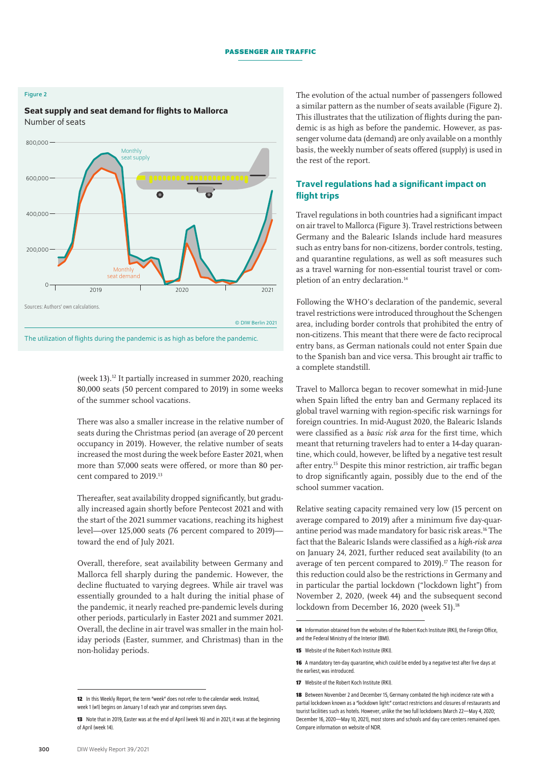## Figure 2

## Seat supply and seat demand for flights to Mallorca Number of seats



(week 13).12 It partially increased in summer 2020, reaching 80,000 seats (50 percent compared to 2019) in some weeks of the summer school vacations.

There was also a smaller increase in the relative number of seats during the Christmas period (an average of 20 percent occupancy in 2019). However, the relative number of seats increased the most during the week before Easter 2021, when more than 57,000 seats were offered, or more than 80 percent compared to 2019.13

Thereafter, seat availability dropped significantly, but gradually increased again shortly before Pentecost 2021 and with the start of the 2021 summer vacations, reaching its highest level—over 125,000 seats (76 percent compared to 2019) toward the end of July 2021.

Overall, therefore, seat availability between Germany and Mallorca fell sharply during the pandemic. However, the decline fluctuated to varying degrees. While air travel was essentially grounded to a halt during the initial phase of the pandemic, it nearly reached pre-pandemic levels during other periods, particularly in Easter 2021 and summer 2021. Overall, the decline in air travel was smaller in the main holiday periods (Easter, summer, and Christmas) than in the non-holiday periods.

The evolution of the actual number of passengers followed a similar pattern as the number of seats available (Figure 2). This illustrates that the utilization of flights during the pandemic is as high as before the pandemic. However, as passenger volume data (demand) are only available on a monthly basis, the weekly number of seats offered (supply) is used in the rest of the report.

## Travel regulations had a significant impact on flight trips

Travel regulations in both countries had a significant impact on air travel to Mallorca (Figure 3). Travel restrictions between Germany and the Balearic Islands include hard measures such as entry bans for non-citizens, border controls, testing, and quarantine regulations, as well as soft measures such as a travel warning for non-essential tourist travel or completion of an entry declaration.<sup>14</sup>

Following the WHO's declaration of the pandemic, several travel restrictions were introduced throughout the Schengen area, including border controls that prohibited the entry of non-citizens. This meant that there were de facto reciprocal entry bans, as German nationals could not enter Spain due to the Spanish ban and vice versa. This brought air traffic to a complete standstill.

Travel to Mallorca began to recover somewhat in mid-June when Spain lifted the entry ban and Germany replaced its global travel warning with region-specific risk warnings for foreign countries. In mid-August 2020, the Balearic Islands were classified as a *basic risk area* for the first time, which meant that returning travelers had to enter a 14-day quarantine, which could, however, be lifted by a negative test result after entry.15 Despite this minor restriction, air traffic began to drop significantly again, possibly due to the end of the school summer vacation.

Relative seating capacity remained very low (15 percent on average compared to 2019) after a minimum five day-quarantine period was made mandatory for basic risk areas.16 The fact that the Balearic Islands were classified as a *high-risk area* on January 24, 2021, further reduced seat availability (to an average of ten percent compared to  $2019$ ).<sup>17</sup> The reason for this reduction could also be the restrictions in Germany and in particular the partial lockdown ("lockdown light") from November 2, 2020, (week 44) and the subsequent second lockdown from December 16, 2020 (week 51).<sup>18</sup>

**<sup>12</sup>** In this Weekly Report, the term "week" does not refer to the calendar week. Instead, week 1 (w1) begins on January 1 of each year and comprises seven days.

**<sup>13</sup>** Note that in 2019, Easter was at the end of April (week 16) and in 2021, it was at the beginning of April (week14).

<sup>14</sup> Information obtained from the websites of the [Robert Koch Institute \(RKI\)](https://www.rki.de/DE/Content/InfAZ/N/Neuartiges_Coronavirus/Risikogebiete_neu.html), the [Foreign Office](https://www.auswaertiges-amt.de/de/ReiseUndSicherheit/spaniensicherheit/210534), and the [Federal Ministry of the Interior \(BMI\)](https://www.bmi.bund.de/SharedDocs/faqs/DE/themen/bevoelkerungsschutz/coronavirus/coronavirus-faqs.html).

**<sup>15</sup>** [Website of the Robert Koch Institute \(RKI\).](https://www.rki.de/DE/Content/InfAZ/N/Neuartiges_Coronavirus/Transport/Archiv_Risikogebiete/Risikogebiete_14082020_en.pdf?__blob=publicationFile)

**<sup>16</sup>** A mandatory ten-day quarantine, which could be ended by a negative test after five days at the earliest, was introduced.

**<sup>17</sup>** [Website of the Robert Koch Institute \(RKI\).](https://www.rki.de/DE/Content/InfAZ/N/Neuartiges_Coronavirus/Transport/Archiv_Risikogebiete/Risikogebiete_2021-01-22_en.pdf?__blob=publicationFile)

**<sup>18</sup>** Between November 2 and December 15, Germany combated the high incidence rate with a partial lockdown known as a "lockdown light:" contact restrictions and closures of restaurants and tourist facilities such as hotels. However, unlike the two full lockdowns (March 22—May 4, 2020; December 16, 2020—May10, 2021), most stores and schools and day care centers remained open. Compare information on [website of NDR.](https://www.ndr.de/nachrichten/info/Corona-Chronologie-Die-Ereignisse-im-Norden,coronachronologieindex100.html)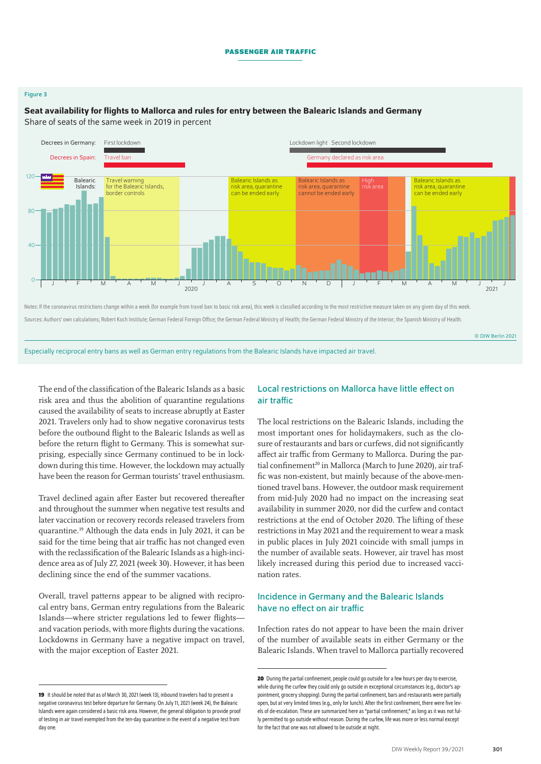### Figure 3

#### 0 40 80 120 2020 2021 Decrees in Germany: First lockdown Decrees in Spain: Lockdown light Second lockdown Travel ban Germany declared as risk area Travel warning for the Balearic Islands, border controls Balearic Islands as risk area, quarantine can be ended early Balearic Islands as risk area, quarantine cannot be ended early Balearic Islands: J 'F 'M 'A 'M 'J ' J 'A 'S 'O 'N 'D | J 'F 'M 'A 'M 'J ' J J Balearic Islands as risk area, quarantine can be ended early Notes: If the coronavirus restrictions change within a week (for example from travel ban to basic risk area), this week is classified according to the most restrictive measure taken on any given day of this week.

## Seat availability for flights to Mallorca and rules for entry between the Balearic Islands and Germany

Share of seats of the same week in 2019 in percent

Sources: Authors' own calculations; Robert Koch Institute; German Federal Foreign Office; the German Federal Ministry of Health; the German Federal Ministry of the Interior; the Spanish Ministry of Health.

© DIW Berlin 2021

Especially reciprocal entry bans as well as German entry regulations from the Balearic Islands have impacted air travel.

The end of the classification of the Balearic Islands as a basic risk area and thus the abolition of quarantine regulations caused the availability of seats to increase abruptly at Easter 2021. Travelers only had to show negative coronavirus tests before the outbound flight to the Balearic Islands as well as before the return flight to Germany. This is somewhat surprising, especially since Germany continued to be in lockdown during this time. However, the lockdown may actually have been the reason for German tourists' travel enthusiasm.

Travel declined again after Easter but recovered thereafter and throughout the summer when negative test results and later vaccination or recovery records released travelers from quarantine.19 Although the data ends in July 2021, it can be said for the time being that air traffic has not changed even with the reclassification of the Balearic Islands as a high-incidence area as of July 27, 2021 (week 30). However, it has been declining since the end of the summer vacations.

Overall, travel patterns appear to be aligned with reciprocal entry bans, German entry regulations from the Balearic Islands—where stricter regulations led to fewer flights and vacation periods, with more flights during the vacations. Lockdowns in Germany have a negative impact on travel, with the major exception of Easter 2021.

## Local restrictions on Mallorca have little effect on air traffic

The local restrictions on the Balearic Islands, including the most important ones for holidaymakers, such as the closure of restaurants and bars or curfews, did not significantly affect air traffic from Germany to Mallorca. During the partial confinement<sup>20</sup> in Mallorca (March to June 2020), air traffic was non-existent, but mainly because of the above-mentioned travel bans. However, the outdoor mask requirement from mid-July 2020 had no impact on the increasing seat availability in summer 2020, nor did the curfew and contact restrictions at the end of October 2020. The lifting of these restrictions in May 2021 and the requirement to wear a mask in public places in July 2021 coincide with small jumps in the number of available seats. However, air travel has most likely increased during this period due to increased vaccination rates.

## Incidence in Germany and the Balearic Islands have no effect on air traffic

Infection rates do not appear to have been the main driver of the number of available seats in either Germany or the Balearic Islands. When travel to Mallorca partially recovered

<sup>19</sup> It should be noted that as of March 30, 2021 (week 13), inbound travelers had to present a negative coronavirus test before departure for Germany. On July 11, 2021 (week 24), the Balearic Islands were again considered a basic risk area. However, the general obligation to provide proof of testing in air travel exempted from the ten-day quarantine in the event of a negative test from day one.

**<sup>20</sup>** During the partial confinement, people could go outside for a few hours per day to exercise. while during the curfew they could only go outside in exceptional circumstances (e.g., doctor's appointment, grocery shopping). During the partial confinement, bars and restaurants were partially open, but at very limited times (e.g., only for lunch). After the first confinement, there were five levels of de-escalation. These are summarized here as "partial confinement," as long as it was not fully permitted to go outside without reason. During the curfew, life was more or less normal except for the fact that one was not allowed to be outside at night.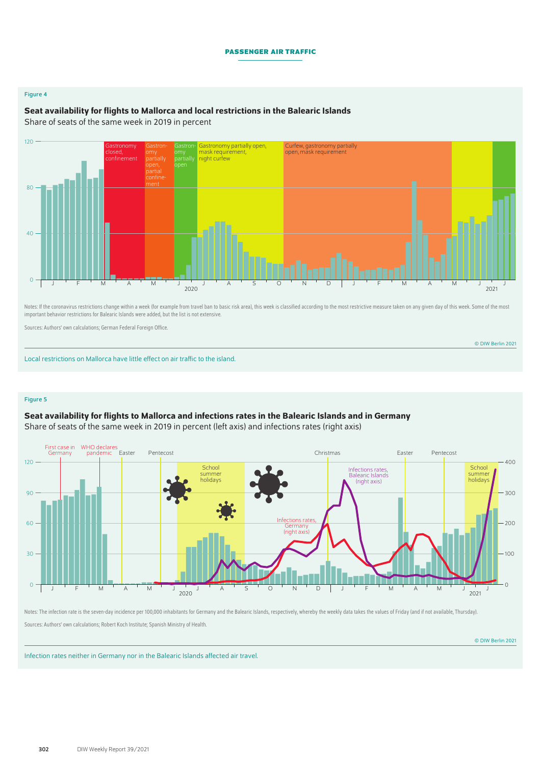### Figure 4

## Seat availability for flights to Mallorca and local restrictions in the Balearic Islands

Share of seats of the same week in 2019 in percent



Notes: If the coronavirus restrictions change within a week (for example from travel ban to basic risk area), this week is classified according to the most restrictive measure taken on any given day of this week. Some of t important behavior restrictions for Balearic Islands were added, but the list is not extensive.

Sources: Authors' own calculations; German Federal Foreign Office.

© DIW Berlin 2021

Local restrictions on Mallorca have little effect on air traffic to the island.

#### Figure 5

## Seat availability for flights to Mallorca and infections rates in the Balearic Islands and in Germany

Share of seats of the same week in 2019 in percent (left axis) and infections rates (right axis)



Notes: The infection rate is the seven-day incidence per 100,000 inhabitants for Germany and the Balearic Islands, respectively, whereby the weekly data takes the values of Friday (and if not available, Thursday). Sources: Authors' own calculations; Robert Koch Institute; Spanish Ministry of Health.

© DIW Berlin 2021

Infection rates neither in Germany nor in the Balearic Islands affected air travel.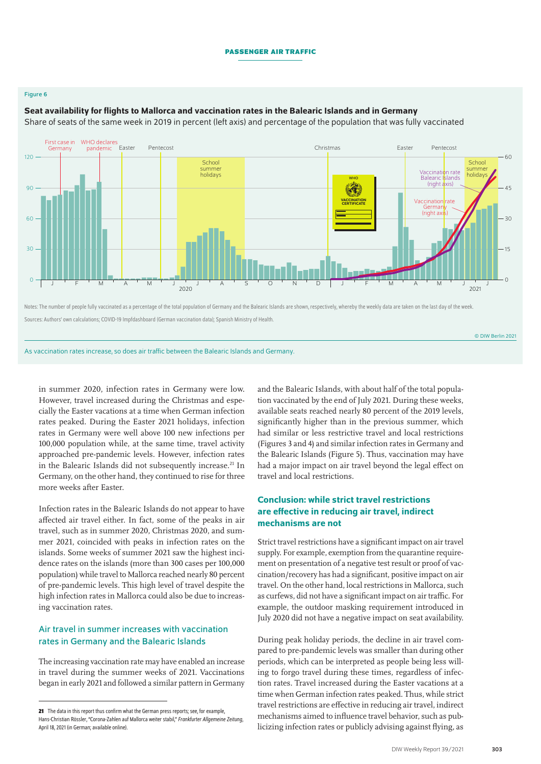## Figure 6

#### $\mathcal{C}$ 30  $60$  $9<sub>0</sub>$  $120$  $30$ 15  $\Omega$  $4<sup>5</sup>$  $60$ Vaccination rate Germany (right axis) Vaccination rate Balearic Islands (right axis) 2020 2021 J 'F 'M 'A 'M 'J ' I 'A 'S 'O 'N 'D | J 'F 'M 'A 'M 'J ' I J **WHC VACCINATION CERTIFICATE** School summe holidays Easter Pentecost Christmas Easter Pentecost School summe holidays First case in WHO declares pandemic Germany

## Seat availability for flights to Mallorca and vaccination rates in the Balearic Islands and in Germany

Share of seats of the same week in 2019 in percent (left axis) and percentage of the population that was fully vaccinated

Notes: The number of people fully vaccinated as a percentage of the total population of Germany and the Balearic Islands are shown, respectively, whereby the weekly data are taken on the last day of the week. Sources: Authors' own calculations; COVID-19 Impfdashboard (German vaccination data); Spanish Ministry of Health.

As vaccination rates increase, so does air traffic between the Balearic Islands and Germany.

in summer 2020, infection rates in Germany were low. However, travel increased during the Christmas and especially the Easter vacations at a time when German infection rates peaked. During the Easter 2021 holidays, infection rates in Germany were well above 100 new infections per 100,000 population while, at the same time, travel activity approached pre-pandemic levels. However, infection rates in the Balearic Islands did not subsequently increase.<sup>21</sup> In Germany, on the other hand, they continued to rise for three more weeks after Easter.

Infection rates in the Balearic Islands do not appear to have affected air travel either. In fact, some of the peaks in air travel, such as in summer 2020, Christmas 2020, and summer 2021, coincided with peaks in infection rates on the islands. Some weeks of summer 2021 saw the highest incidence rates on the islands (more than 300 cases per 100,000 population) while travel to Mallorca reached nearly 80 percent of pre-pandemic levels. This high level of travel despite the high infection rates in Mallorca could also be due to increasing vaccination rates.

## Air travel in summer increases with vaccination rates in Germany and the Balearic Islands

The increasing vaccination rate may have enabled an increase in travel during the summer weeks of 2021. Vaccinations began in early 2021 and followed a similar pattern in Germany and the Balearic Islands, with about half of the total population vaccinated by the end of July 2021. During these weeks, available seats reached nearly 80 percent of the 2019 levels, significantly higher than in the previous summer, which had similar or less restrictive travel and local restrictions (Figures 3 and 4) and similar infection rates in Germany and the Balearic Islands (Figure 5). Thus, vaccination may have had a major impact on air travel beyond the legal effect on travel and local restrictions.

## Conclusion: while strict travel restrictions are effective in reducing air travel, indirect mechanisms are not

Strict travel restrictions have a significant impact on air travel supply. For example, exemption from the quarantine requirement on presentation of a negative test result or proof of vaccination/recovery has had a significant, positive impact on air travel. On the other hand, local restrictions in Mallorca, such as curfews, did not have a significant impact on air traffic. For example, the outdoor masking requirement introduced in July 2020 did not have a negative impact on seat availability.

During peak holiday periods, the decline in air travel compared to pre-pandemic levels was smaller than during other periods, which can be interpreted as people being less willing to forgo travel during these times, regardless of infection rates. Travel increased during the Easter vacations at a time when German infection rates peaked. Thus, while strict travel restrictions are effective in reducing air travel, indirect mechanisms aimed to influence travel behavior, such as publicizing infection rates or publicly advising against flying, as

© DIW Berlin 2021

**<sup>21</sup>** The data in this report thus confirm what the German press reports; see, for example, Hans-Christian Rössler, "Corona-Zahlen auf Mallorca weiter stabil," *Frankfurter Allgemeine Zeitung*, April 18, 2021 (in German; [available online\)](https://www.faz.net/aktuell/gesellschaft/gesundheit/coronavirus/trotz-vieler-urlauber-corona-zahlen-auf-mallorca-weiter-stabil-17299754.html).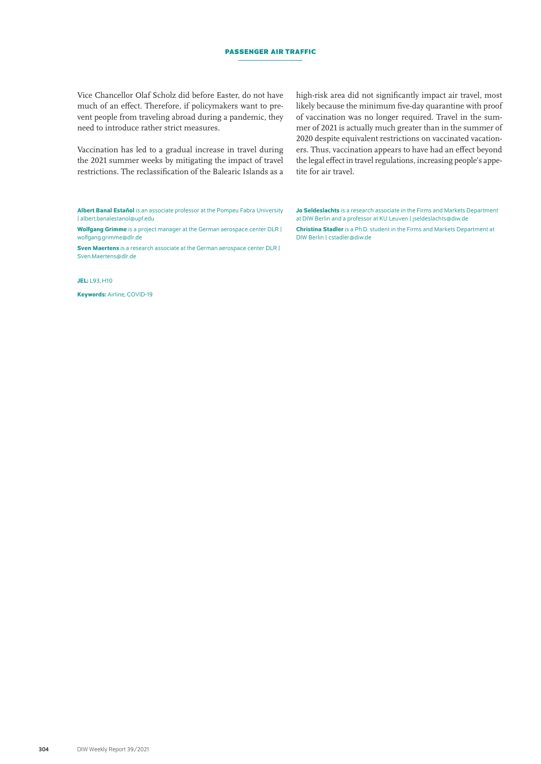Vice Chancellor Olaf Scholz did before Easter, do not have much of an effect. Therefore, if policymakers want to prevent people from traveling abroad during a pandemic, they need to introduce rather strict measures.

Vaccination has led to a gradual increase in travel during the 2021 summer weeks by mitigating the impact of travel restrictions. The reclassification of the Balearic Islands as a high-risk area did not significantly impact air travel, most likely because the minimum five-day quarantine with proof of vaccination was no longer required. Travel in the summer of 2021 is actually much greater than in the summer of 2020 despite equivalent restrictions on vaccinated vacationers. Thus, vaccination appears to have had an effect beyond the legal effect in travel regulations, increasing people's appetite for air travel.

Albert Banal Estañol is an associate professor at the Pompeu Fabra University | [albert.banalestanol@upf.edu](mailto:albert.banalestanol@upf.edu)

Wolfgang Grimme is a project manager at the German aerospace center DLR | [wolfgang.grimme@dlr.de](mailto:wolfgang.grimme@dlr.de)

Sven Maertens is a research associate at the German aerospace center DLR | [Sven.Maertens@dlr.de](mailto:Sven.Maertens@dlr.de)

JEL: L93, H10

Keywords: Airline, COVID-19

Jo Seldeslachts is a research associate in the Firms and Markets Department at DIW Berlin and a professor at KU Leuven | [jseldeslachts@diw.de](mailto:jseldeslachts%40diw.de?subject=) Christina Stadler is a Ph.D. student in the Firms and Markets Department at DIW Berlin | [cstadler@diw.de](mailto:cstadler%40diw.de?subject=)